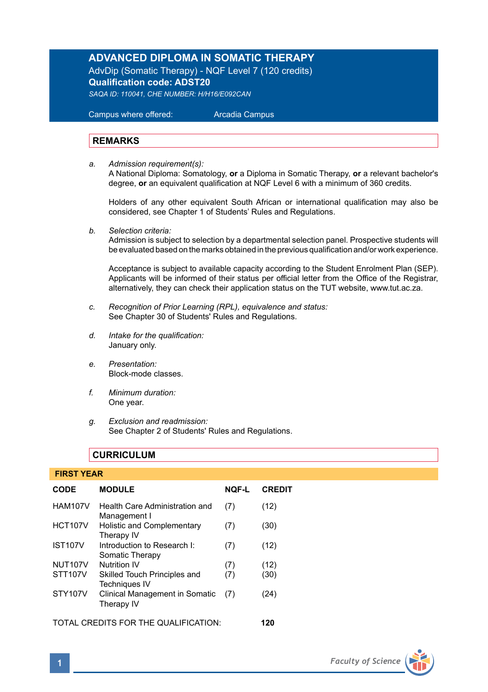## **ADVANCED DIPLOMA IN SOMATIC THERAPY**

AdvDip (Somatic Therapy) - NQF Level 7 (120 credits) **Qualification code: ADST20** *SAQA ID: 110041, CHE NUMBER: H/H16/E092CAN* 

 Campus where offered: Arcadia Campus

#### **REMARKS**

*a. Admission requirement(s):*  A National Diploma: Somatology, **or** a Diploma in Somatic Therapy, **or** a relevant bachelor's degree, **or** an equivalent qualification at NQF Level 6 with a minimum of 360 credits.

Holders of any other equivalent South African or international qualification may also be considered, see Chapter 1 of Students' Rules and Regulations.

*b. Selection criteria:*

Admission is subject to selection by a departmental selection panel. Prospective students will be evaluated based on the marks obtained in the previous qualification and/or work experience.

Acceptance is subject to available capacity according to the Student Enrolment Plan (SEP). Applicants will be informed of their status per official letter from the Office of the Registrar, alternatively, they can check their application status on the TUT website, www.tut.ac.za.

- *c. Recognition of Prior Learning (RPL), equivalence and status:* See Chapter 30 of Students' Rules and Regulations.
- *d. Intake for the qualification:* January only.
- *e. Presentation:* Block-mode classes.
- *f. Minimum duration:* One year.
- *g. Exclusion and readmission:* See Chapter 2 of Students' Rules and Regulations.

## **CURRICULUM**

#### **FIRST YEAR**

| <b>CODE</b>                          | <b>MODULE</b>                                        | <b>NOF-L</b> | <b>CREDIT</b> |
|--------------------------------------|------------------------------------------------------|--------------|---------------|
| <b>HAM107V</b>                       | Health Care Administration and<br>Management I       | (7)          | (12)          |
| <b>HCT107V</b>                       | Holistic and Complementary<br>Therapy IV             | (7)          | (30)          |
| <b>IST107V</b>                       | Introduction to Research I:<br>Somatic Therapy       | (7)          | (12)          |
| <b>NUT107V</b>                       | <b>Nutrition IV</b>                                  | (7)          | (12)          |
| <b>STT107V</b>                       | Skilled Touch Principles and<br><b>Techniques IV</b> | (7)          | (30)          |
| STY107V                              | Clinical Management in Somatic<br>Therapy IV         | (7)          | (24)          |
| TOTAL CREDITS FOR THE QUALIFICATION: |                                                      |              | 120           |